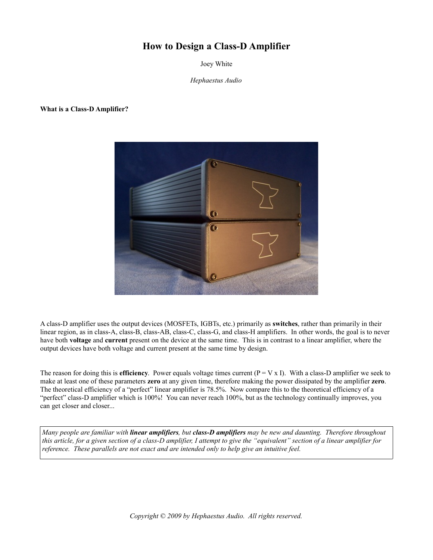# **How to Design a Class-D Amplifier**

Joey White

*Hephaestus Audio*

#### **What is a Class-D Amplifier?**



A class-D amplifier uses the output devices (MOSFETs, IGBTs, etc.) primarily as **switches**, rather than primarily in their linear region, as in class-A, class-B, class-AB, class-C, class-G, and class-H amplifiers. In other words, the goal is to never have both **voltage** and **current** present on the device at the same time. This is in contrast to a linear amplifier, where the output devices have both voltage and current present at the same time by design.

The reason for doing this is **efficiency**. Power equals voltage times current  $(P = V \times I)$ . With a class-D amplifier we seek to make at least one of these parameters **zero** at any given time, therefore making the power dissipated by the amplifier **zero**. The theoretical efficiency of a "perfect" linear amplifier is 78.5%. Now compare this to the theoretical efficiency of a "perfect" class-D amplifier which is 100%! You can never reach 100%, but as the technology continually improves, you can get closer and closer...

*Many people are familiar with linear amplifiers, but class-D amplifiers may be new and daunting. Therefore throughout this article, for a given section of a class-D amplifier, I attempt to give the "equivalent" section of a linear amplifier for reference. These parallels are not exact and are intended only to help give an intuitive feel.*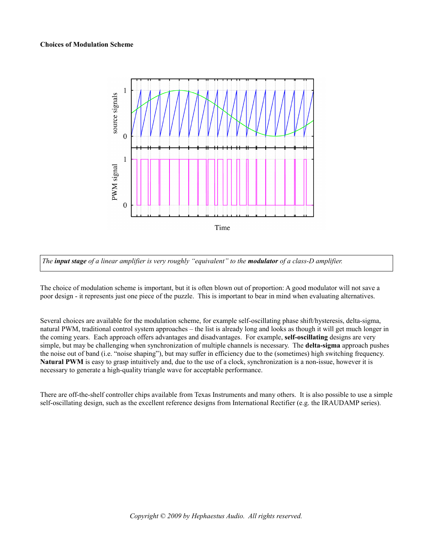

*The input stage of a linear amplifier is very roughly "equivalent" to the modulator of a class-D amplifier.*

The choice of modulation scheme is important, but it is often blown out of proportion: A good modulator will not save a poor design - it represents just one piece of the puzzle. This is important to bear in mind when evaluating alternatives.

Several choices are available for the modulation scheme, for example self-oscillating phase shift/hysteresis, delta-sigma, natural PWM, traditional control system approaches – the list is already long and looks as though it will get much longer in the coming years. Each approach offers advantages and disadvantages. For example, **self-oscillating** designs are very simple, but may be challenging when synchronization of multiple channels is necessary. The **delta-sigma** approach pushes the noise out of band (i.e. "noise shaping"), but may suffer in efficiency due to the (sometimes) high switching frequency. **Natural PWM** is easy to grasp intuitively and, due to the use of a clock, synchronization is a non-issue, however it is necessary to generate a high-quality triangle wave for acceptable performance.

There are off-the-shelf controller chips available from Texas Instruments and many others. It is also possible to use a simple self-oscillating design, such as the excellent reference designs from International Rectifier (e.g. the IRAUDAMP series).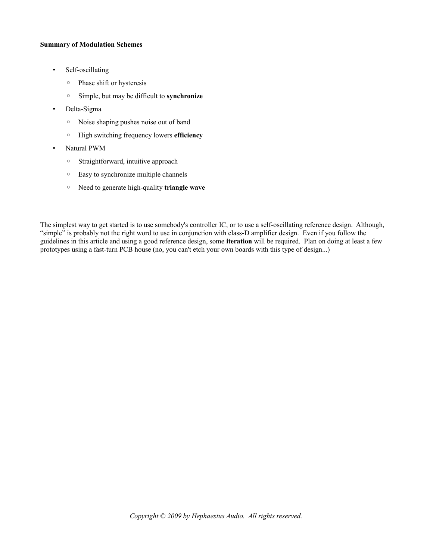#### **Summary of Modulation Schemes**

- Self-oscillating
	- Phase shift or hysteresis
	- Simple, but may be difficult to **synchronize**
- Delta-Sigma
	- Noise shaping pushes noise out of band
	- High switching frequency lowers **efficiency**
- Natural PWM
	- Straightforward, intuitive approach
	- Easy to synchronize multiple channels
	- Need to generate high-quality **triangle wave**

The simplest way to get started is to use somebody's controller IC, or to use a self-oscillating reference design. Although, "simple" is probably not the right word to use in conjunction with class-D amplifier design. Even if you follow the guidelines in this article and using a good reference design, some **iteration** will be required. Plan on doing at least a few prototypes using a fast-turn PCB house (no, you can't etch your own boards with this type of design...)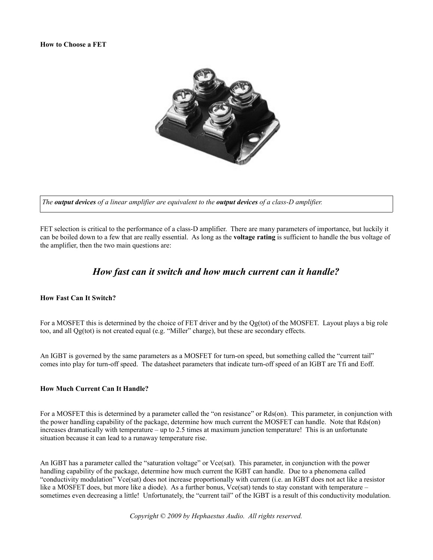

*The output devices of a linear amplifier are equivalent to the output devices of a class-D amplifier.*

FET selection is critical to the performance of a class-D amplifier. There are many parameters of importance, but luckily it can be boiled down to a few that are really essential. As long as the **voltage rating** is sufficient to handle the bus voltage of the amplifier, then the two main questions are:

## *How fast can it switch and how much current can it handle?*

#### **How Fast Can It Switch?**

For a MOSFET this is determined by the choice of FET driver and by the Qg(tot) of the MOSFET. Layout plays a big role too, and all Qg(tot) is not created equal (e.g. "Miller" charge), but these are secondary effects.

An IGBT is governed by the same parameters as a MOSFET for turn-on speed, but something called the "current tail" comes into play for turn-off speed. The datasheet parameters that indicate turn-off speed of an IGBT are Tfi and Eoff.

#### **How Much Current Can It Handle?**

For a MOSFET this is determined by a parameter called the "on resistance" or Rds(on). This parameter, in conjunction with the power handling capability of the package, determine how much current the MOSFET can handle. Note that Rds(on) increases dramatically with temperature – up to 2.5 times at maximum junction temperature! This is an unfortunate situation because it can lead to a runaway temperature rise.

An IGBT has a parameter called the "saturation voltage" or Vce(sat). This parameter, in conjunction with the power handling capability of the package, determine how much current the IGBT can handle. Due to a phenomena called "conductivity modulation" Vce(sat) does not increase proportionally with current (i.e. an IGBT does not act like a resistor like a MOSFET does, but more like a diode). As a further bonus, Vce(sat) tends to stay constant with temperature – sometimes even decreasing a little! Unfortunately, the "current tail" of the IGBT is a result of this conductivity modulation.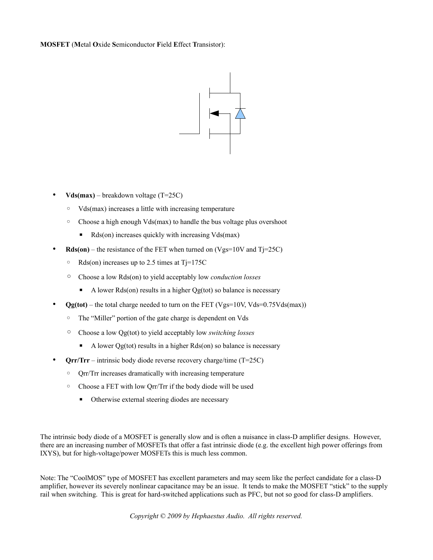**MOSFET** (**M**etal **O**xide **S**emiconductor **F**ield **E**ffect **T**ransistor):



- **Vds(max)** breakdown voltage (T=25C)
	- Vds(max) increases a little with increasing temperature
	- Choose a high enough Vds(max) to handle the bus voltage plus overshoot
		- $\blacksquare$  Rds(on) increases quickly with increasing Vds(max)
- $Rds(on)$  the resistance of the FET when turned on (Vgs=10V and T $j=25C$ )
	- Rds(on) increases up to 2.5 times at Tj=175C
	- Choose a low Rds(on) to yield acceptably low *conduction losses*
		- $\blacksquare$  A lower Rds(on) results in a higher Qg(tot) so balance is necessary
- **Og(tot)** the total charge needed to turn on the FET (Vgs=10V, Vds=0.75Vds(max))
	- The "Miller" portion of the gate charge is dependent on Vds
	- Choose a low Qg(tot) to yield acceptably low *switching losses*
		- A lower Qg(tot) results in a higher Rds(on) so balance is necessary
- **Qrr/Trr** intrinsic body diode reverse recovery charge/time (T=25C)
	- Qrr/Trr increases dramatically with increasing temperature
	- Choose a FET with low Qrr/Trr if the body diode will be used
		- Otherwise external steering diodes are necessary

The intrinsic body diode of a MOSFET is generally slow and is often a nuisance in class-D amplifier designs. However, there are an increasing number of MOSFETs that offer a fast intrinsic diode (e.g. the excellent high power offerings from IXYS), but for high-voltage/power MOSFETs this is much less common.

Note: The "CoolMOS" type of MOSFET has excellent parameters and may seem like the perfect candidate for a class-D amplifier, however its severely nonlinear capacitance may be an issue. It tends to make the MOSFET "stick" to the supply rail when switching. This is great for hard-switched applications such as PFC, but not so good for class-D amplifiers.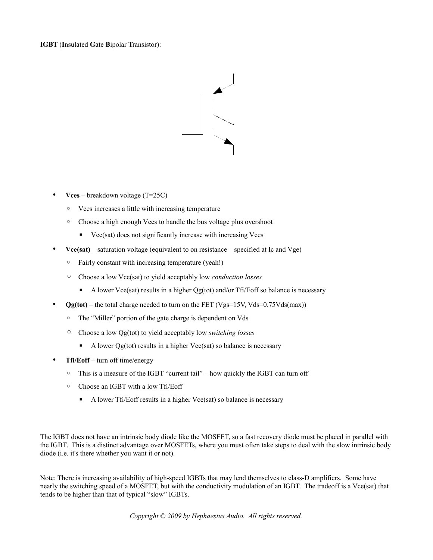### **IGBT** (**I**nsulated **G**ate **B**ipolar **T**ransistor):



- **Vces**  breakdown voltage (T=25C)
	- Vces increases a little with increasing temperature
	- Choose a high enough Vces to handle the bus voltage plus overshoot
		- Vce(sat) does not significantly increase with increasing Vces
- **Vce(sat)** saturation voltage (equivalent to on resistance specified at Ic and Vge)
	- Fairly constant with increasing temperature (yeah!)
	- Choose a low Vce(sat) to yield acceptably low *conduction losses*
		- A lower Vce(sat) results in a higher Qg(tot) and/or Tfi/Eoff so balance is necessary
- $Qg(tot)$  the total charge needed to turn on the FET (Vgs=15V, Vds=0.75Vds(max))
	- The "Miller" portion of the gate charge is dependent on Vds
	- Choose a low Qg(tot) to yield acceptably low *switching losses*
		- A lower Qg(tot) results in a higher Vce(sat) so balance is necessary
- **Tfi/Eoff** turn off time/energy
	- This is a measure of the IGBT "current tail" how quickly the IGBT can turn off
	- Choose an IGBT with a low Tfi/Eoff
		- A lower Tfi/Eoff results in a higher Vce(sat) so balance is necessary

The IGBT does not have an intrinsic body diode like the MOSFET, so a fast recovery diode must be placed in parallel with the IGBT. This is a distinct advantage over MOSFETs, where you must often take steps to deal with the slow intrinsic body diode (i.e. it's there whether you want it or not).

Note: There is increasing availability of high-speed IGBTs that may lend themselves to class-D amplifiers. Some have nearly the switching speed of a MOSFET, but with the conductivity modulation of an IGBT. The tradeoff is a Vce(sat) that tends to be higher than that of typical "slow" IGBTs.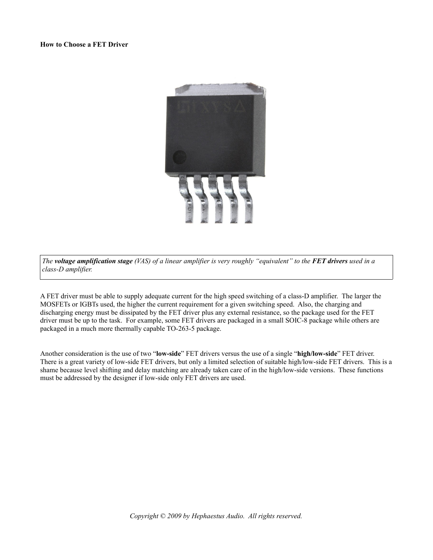

*The voltage amplification stage (VAS) of a linear amplifier is very roughly "equivalent" to the FET drivers used in a class-D amplifier.*

A FET driver must be able to supply adequate current for the high speed switching of a class-D amplifier. The larger the MOSFETs or IGBTs used, the higher the current requirement for a given switching speed. Also, the charging and discharging energy must be dissipated by the FET driver plus any external resistance, so the package used for the FET driver must be up to the task. For example, some FET drivers are packaged in a small SOIC-8 package while others are packaged in a much more thermally capable TO-263-5 package.

Another consideration is the use of two "**low-side**" FET drivers versus the use of a single "**high/low-side**" FET driver. There is a great variety of low-side FET drivers, but only a limited selection of suitable high/low-side FET drivers. This is a shame because level shifting and delay matching are already taken care of in the high/low-side versions. These functions must be addressed by the designer if low-side only FET drivers are used.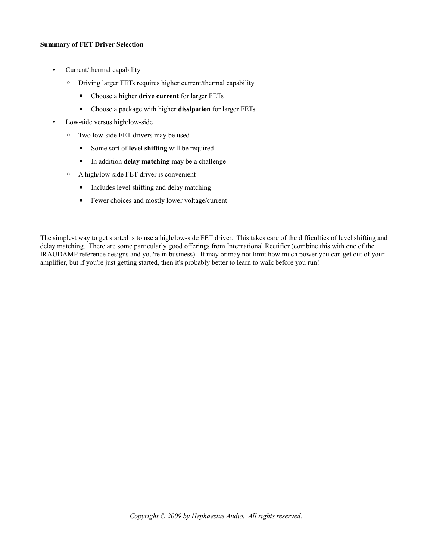### **Summary of FET Driver Selection**

- Current/thermal capability
	- Driving larger FETs requires higher current/thermal capability
		- Choose a higher **drive current** for larger FETs
		- Choose a package with higher **dissipation** for larger FETs
- Low-side versus high/low-side
	- Two low-side FET drivers may be used
		- Some sort of **level shifting** will be required
		- In addition **delay matching** may be a challenge
	- A high/low-side FET driver is convenient
		- Includes level shifting and delay matching
		- Fewer choices and mostly lower voltage/current

The simplest way to get started is to use a high/low-side FET driver. This takes care of the difficulties of level shifting and delay matching. There are some particularly good offerings from International Rectifier (combine this with one of the IRAUDAMP reference designs and you're in business). It may or may not limit how much power you can get out of your amplifier, but if you're just getting started, then it's probably better to learn to walk before you run!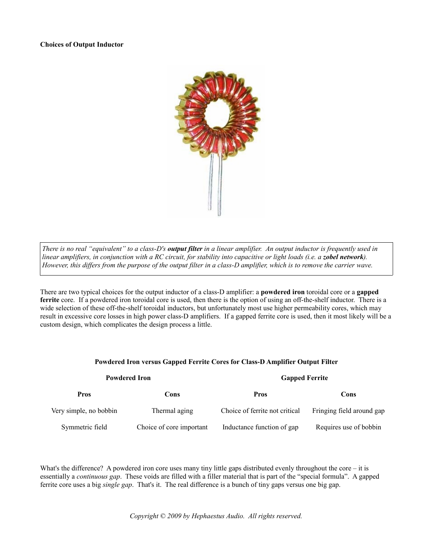

*There is no real "equivalent" to a class-D's output filter in a linear amplifier. An output inductor is frequently used in linear amplifiers, in conjunction with a RC circuit, for stability into capacitive or light loads (i.e. a zobel network). However, this differs from the purpose of the output filter in a class-D amplifier, which is to remove the carrier wave.*

There are two typical choices for the output inductor of a class-D amplifier: a **powdered iron** toroidal core or a **gapped ferrite** core. If a powdered iron toroidal core is used, then there is the option of using an off-the-shelf inductor. There is a wide selection of these off-the-shelf toroidal inductors, but unfortunately most use higher permeability cores, which may result in excessive core losses in high power class-D amplifiers. If a gapped ferrite core is used, then it most likely will be a custom design, which complicates the design process a little.

| <b>Powdered Iron</b>   |                          | <b>Gapped Ferrite</b>          |                           |
|------------------------|--------------------------|--------------------------------|---------------------------|
| <b>Pros</b>            | Cons                     | <b>Pros</b>                    | Cons                      |
| Very simple, no bobbin | Thermal aging            | Choice of ferrite not critical | Fringing field around gap |
| Symmetric field        | Choice of core important | Inductance function of gap     | Requires use of bobbin    |

### **Powdered Iron versus Gapped Ferrite Cores for Class-D Amplifier Output Filter**

What's the difference? A powdered iron core uses many tiny little gaps distributed evenly throughout the core – it is essentially a *continuous gap*. These voids are filled with a filler material that is part of the "special formula". A gapped ferrite core uses a big *single gap*. That's it. The real difference is a bunch of tiny gaps versus one big gap.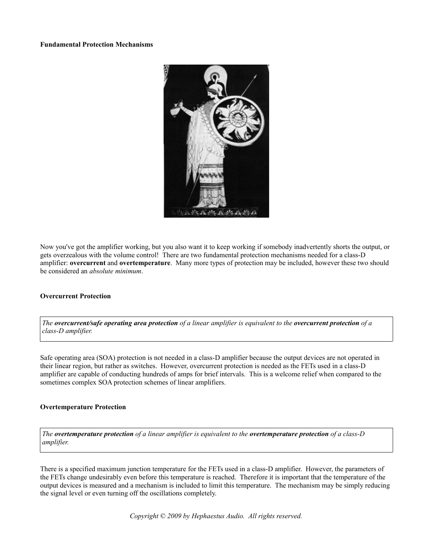#### **Fundamental Protection Mechanisms**



Now you've got the amplifier working, but you also want it to keep working if somebody inadvertently shorts the output, or gets overzealous with the volume control! There are two fundamental protection mechanisms needed for a class-D amplifier: **overcurrent** and **overtemperature**. Many more types of protection may be included, however these two should be considered an *absolute minimum*.

#### **Overcurrent Protection**

*The overcurrent/safe operating area protection of a linear amplifier is equivalent to the overcurrent protection of a class-D amplifier.*

Safe operating area (SOA) protection is not needed in a class-D amplifier because the output devices are not operated in their linear region, but rather as switches. However, overcurrent protection is needed as the FETs used in a class-D amplifier are capable of conducting hundreds of amps for brief intervals. This is a welcome relief when compared to the sometimes complex SOA protection schemes of linear amplifiers.

### **Overtemperature Protection**

*The overtemperature protection of a linear amplifier is equivalent to the overtemperature protection of a class-D amplifier.*

There is a specified maximum junction temperature for the FETs used in a class-D amplifier. However, the parameters of the FETs change undesirably even before this temperature is reached. Therefore it is important that the temperature of the output devices is measured and a mechanism is included to limit this temperature. The mechanism may be simply reducing the signal level or even turning off the oscillations completely.